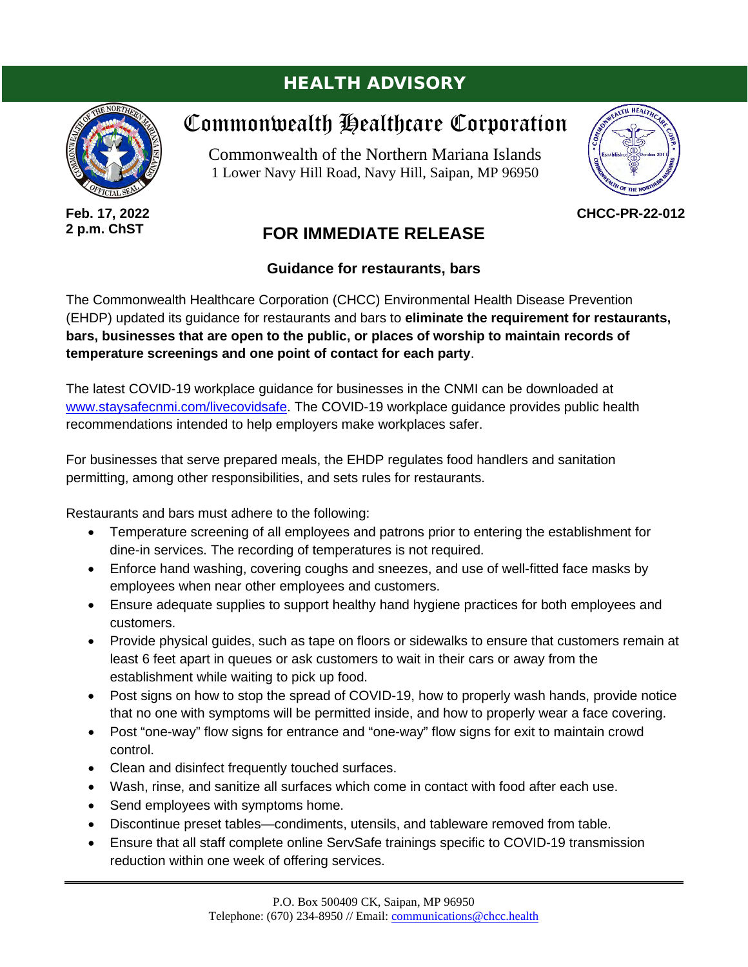## HEALTH ADVISORY



**Feb. 17, 2022 2 p.m. ChST**

## Commonwealth Healthcare Corporation

Commonwealth of the Northern Mariana Islands 1 Lower Navy Hill Road, Navy Hill, Saipan, MP 96950



**CHCC-PR-22-012**

## **FOR IMMEDIATE RELEASE**

## **Guidance for restaurants, bars**

The Commonwealth Healthcare Corporation (CHCC) Environmental Health Disease Prevention (EHDP) updated its guidance for restaurants and bars to **eliminate the requirement for restaurants, bars, businesses that are open to the public, or places of worship to maintain records of temperature screenings and one point of contact for each party**.

The latest COVID-19 workplace guidance for businesses in the CNMI can be downloaded at [www.staysafecnmi.com/livecovidsafe.](http://www.staysafecnmi.com/livecovidsafe) The COVID-19 workplace guidance provides public health recommendations intended to help employers make workplaces safer.

For businesses that serve prepared meals, the EHDP regulates food handlers and sanitation permitting, among other responsibilities, and sets rules for restaurants.

Restaurants and bars must adhere to the following:

- Temperature screening of all employees and patrons prior to entering the establishment for dine-in services. The recording of temperatures is not required.
- Enforce hand washing, covering coughs and sneezes, and use of well-fitted face masks by employees when near other employees and customers.
- Ensure adequate supplies to support healthy hand hygiene practices for both employees and customers.
- Provide physical guides, such as tape on floors or sidewalks to ensure that customers remain at least 6 feet apart in queues or ask customers to wait in their cars or away from the establishment while waiting to pick up food.
- Post signs on how to stop the spread of COVID-19, how to properly wash hands, provide notice that no one with symptoms will be permitted inside, and how to properly wear a face covering.
- Post "one-way" flow signs for entrance and "one-way" flow signs for exit to maintain crowd control.
- Clean and disinfect frequently touched surfaces.
- Wash, rinse, and sanitize all surfaces which come in contact with food after each use.
- Send employees with symptoms home.
- Discontinue preset tables—condiments, utensils, and tableware removed from table.
- Ensure that all staff complete online ServSafe trainings specific to COVID-19 transmission reduction within one week of offering services.